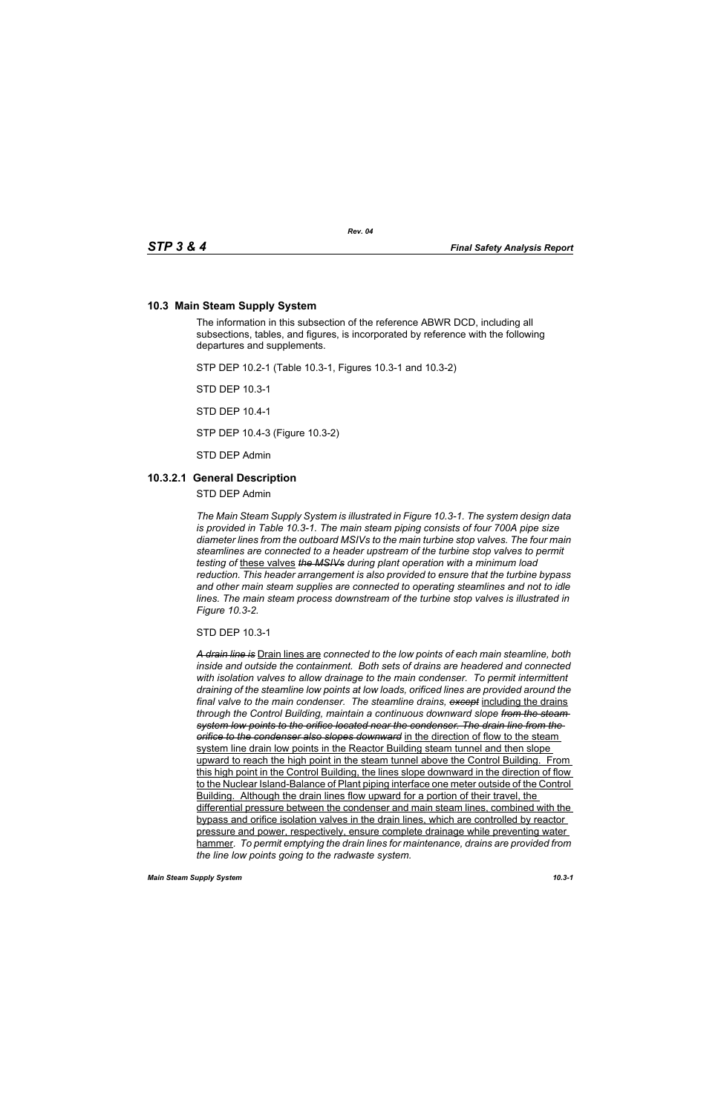### **10.3 Main Steam Supply System**

The information in this subsection of the reference ABWR DCD, including all subsections, tables, and figures, is incorporated by reference with the following departures and supplements.

STP DEP 10.2-1 (Table 10.3-1, Figures 10.3-1 and 10.3-2)

STD DEP 10.3-1

STD DEP 10.4-1

STP DEP 10.4-3 (Figure 10.3-2)

STD DEP Admin

#### **10.3.2.1 General Description**

STD DEP Admin

*The Main Steam Supply System is illustrated in Figure 10.3-1. The system design data is provided in Table 10.3-1. The main steam piping consists of four 700A pipe size diameter lines from the outboard MSIVs to the main turbine stop valves. The four main steamlines are connected to a header upstream of the turbine stop valves to permit testing of* these valves *the MSIVs during plant operation with a minimum load reduction. This header arrangement is also provided to ensure that the turbine bypass and other main steam supplies are connected to operating steamlines and not to idle lines. The main steam process downstream of the turbine stop valves is illustrated in Figure 10.3-2.*

STD DEP 10.3-1

*A drain line is* Drain lines are *connected to the low points of each main steamline, both inside and outside the containment. Both sets of drains are headered and connected with isolation valves to allow drainage to the main condenser. To permit intermittent draining of the steamline low points at low loads, orificed lines are provided around the final valve to the main condenser. The steamline drains, except* including the drains *through the Control Building, maintain a continuous downward slope from the steam system low points to the orifice located near the condenser. The drain line from the orifice to the condenser also slopes downward* in the direction of flow to the steam system line drain low points in the Reactor Building steam tunnel and then slope upward to reach the high point in the steam tunnel above the Control Building. From this high point in the Control Building, the lines slope downward in the direction of flow to the Nuclear Island-Balance of Plant piping interface one meter outside of the Control Building. Although the drain lines flow upward for a portion of their travel, the differential pressure between the condenser and main steam lines, combined with the bypass and orifice isolation valves in the drain lines, which are controlled by reactor pressure and power, respectively, ensure complete drainage while preventing water hammer*. To permit emptying the drain lines for maintenance, drains are provided from the line low points going to the radwaste system.*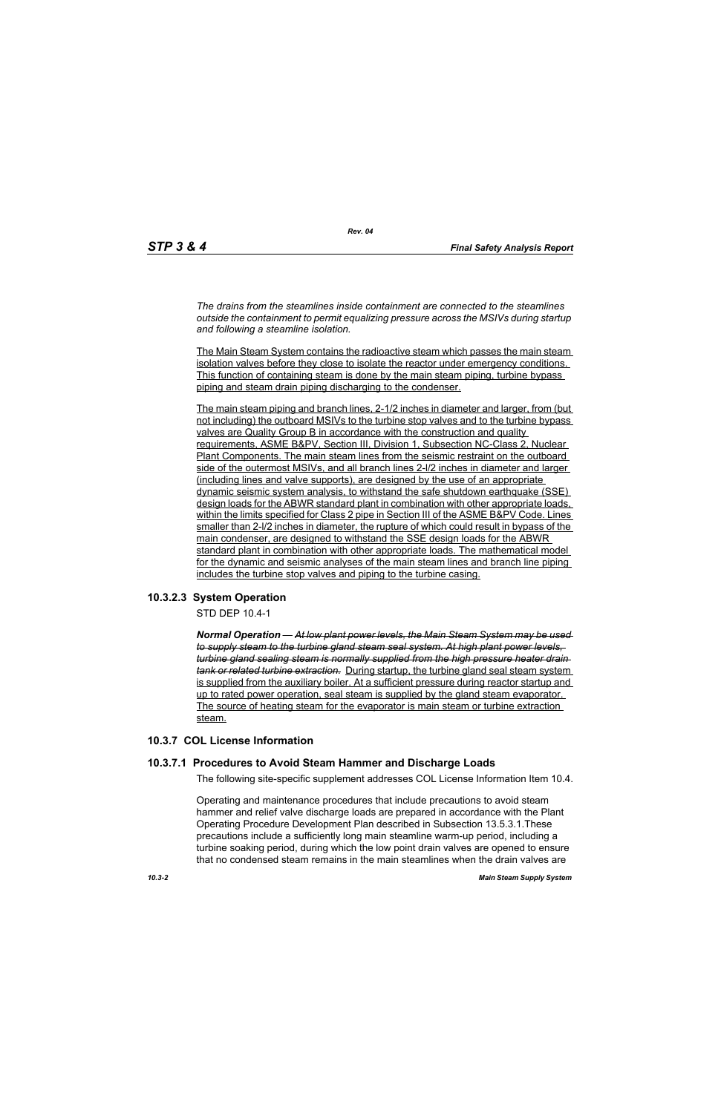*The drains from the steamlines inside containment are connected to the steamlines outside the containment to permit equalizing pressure across the MSIVs during startup and following a steamline isolation.*

*Rev. 04*

The Main Steam System contains the radioactive steam which passes the main steam isolation valves before they close to isolate the reactor under emergency conditions. This function of containing steam is done by the main steam piping, turbine bypass piping and steam drain piping discharging to the condenser.

The main steam piping and branch lines, 2-1/2 inches in diameter and larger, from (but not including) the outboard MSIVs to the turbine stop valves and to the turbine bypass valves are Quality Group B in accordance with the construction and quality requirements, ASME B&PV, Section III, Division 1, Subsection NC-Class 2, Nuclear Plant Components. The main steam lines from the seismic restraint on the outboard side of the outermost MSIVs, and all branch lines 2-l/2 inches in diameter and larger (including lines and valve supports), are designed by the use of an appropriate dynamic seismic system analysis, to withstand the safe shutdown earthquake (SSE) design loads for the ABWR standard plant in combination with other appropriate loads, within the limits specified for Class 2 pipe in Section III of the ASME B&PV Code. Lines smaller than 2-l/2 inches in diameter, the rupture of which could result in bypass of the main condenser, are designed to withstand the SSE design loads for the ABWR standard plant in combination with other appropriate loads. The mathematical model for the dynamic and seismic analyses of the main steam lines and branch line piping includes the turbine stop valves and piping to the turbine casing.

# **10.3.2.3 System Operation**

STD DEP 10.4-1

*Normal Operation — At low plant power levels, the Main Steam System may be used to supply steam to the turbine gland steam seal system. At high plant power levels, turbine gland sealing steam is normally supplied from the high pressure heater drain tank or related turbine extraction.* During startup, the turbine gland seal steam system is supplied from the auxiliary boiler. At a sufficient pressure during reactor startup and up to rated power operation, seal steam is supplied by the gland steam evaporator. The source of heating steam for the evaporator is main steam or turbine extraction steam.

# **10.3.7 COL License Information**

# **10.3.7.1 Procedures to Avoid Steam Hammer and Discharge Loads**

The following site-specific supplement addresses COL License Information Item 10.4.

Operating and maintenance procedures that include precautions to avoid steam hammer and relief valve discharge loads are prepared in accordance with the Plant Operating Procedure Development Plan described in Subsection 13.5.3.1.These precautions include a sufficiently long main steamline warm-up period, including a turbine soaking period, during which the low point drain valves are opened to ensure that no condensed steam remains in the main steamlines when the drain valves are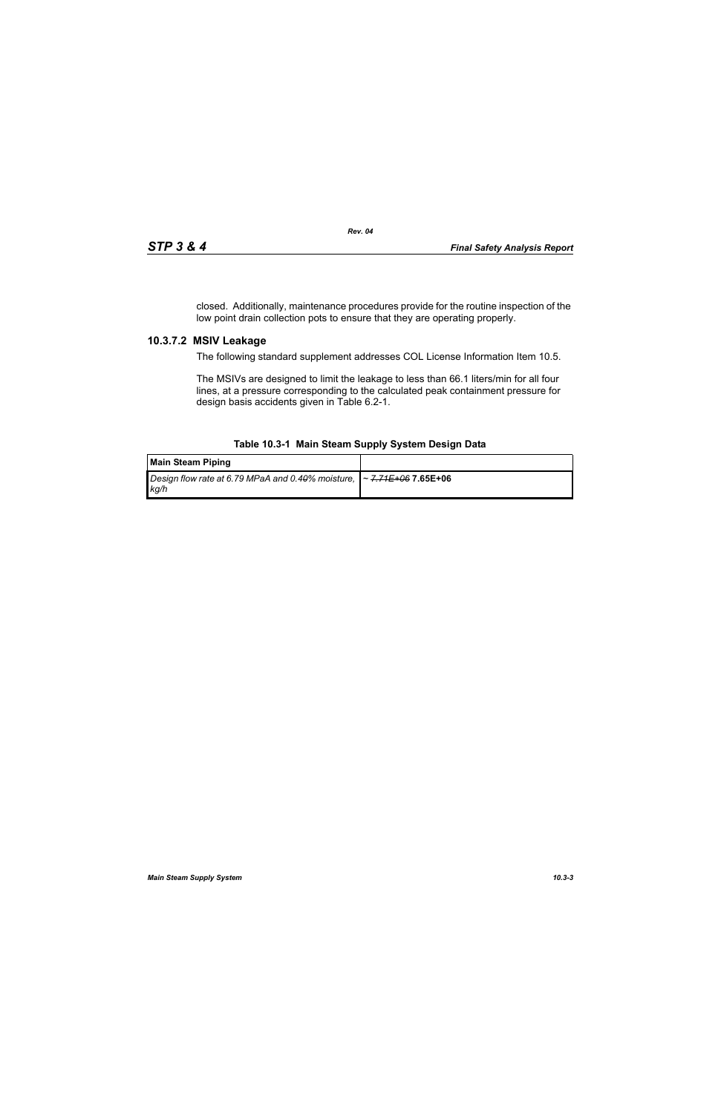closed. Additionally, maintenance procedures provide for the routine inspection of the low point drain collection pots to ensure that they are operating properly.

### **10.3.7.2 MSIV Leakage**

The following standard supplement addresses COL License Information Item 10.5.

The MSIVs are designed to limit the leakage to less than 66.1 liters/min for all four lines, at a pressure corresponding to the calculated peak containment pressure for design basis accidents given in Table 6.2-1.

#### **Table 10.3-1 Main Steam Supply System Design Data**

| Main Steam Piping                                                                  |  |
|------------------------------------------------------------------------------------|--|
| Design flow rate at 6.79 MPaA and 0.40% moisture, $\sim$ 7.71E+06 7.65E+06<br>kg/h |  |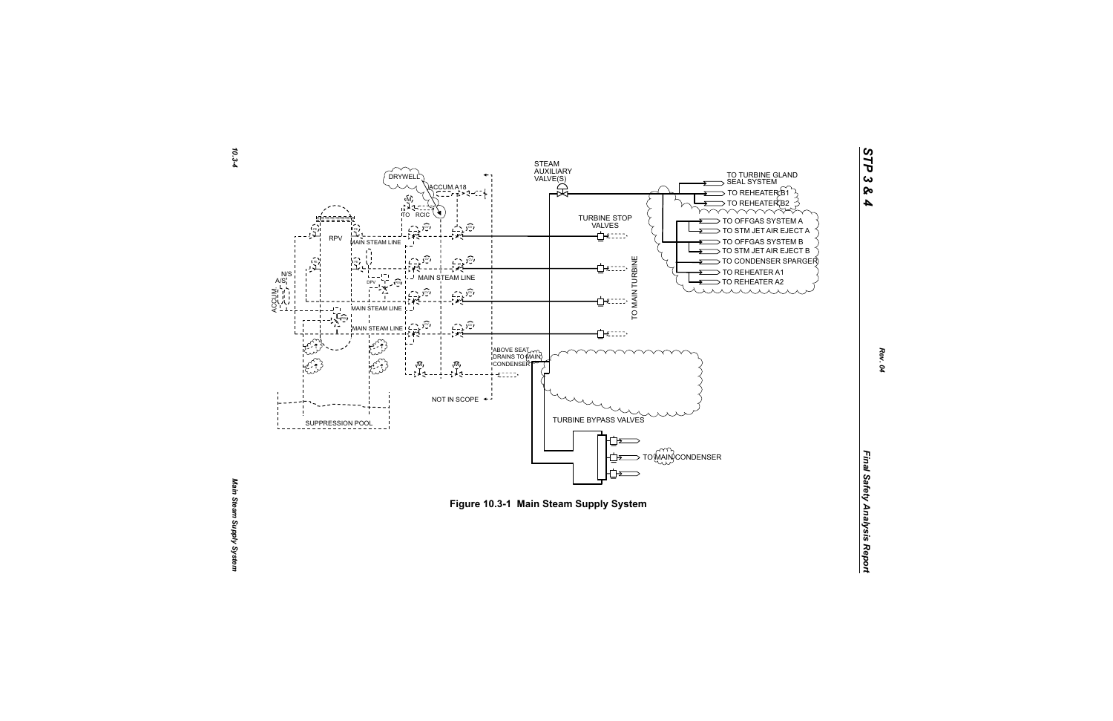



*STP 3 & 4*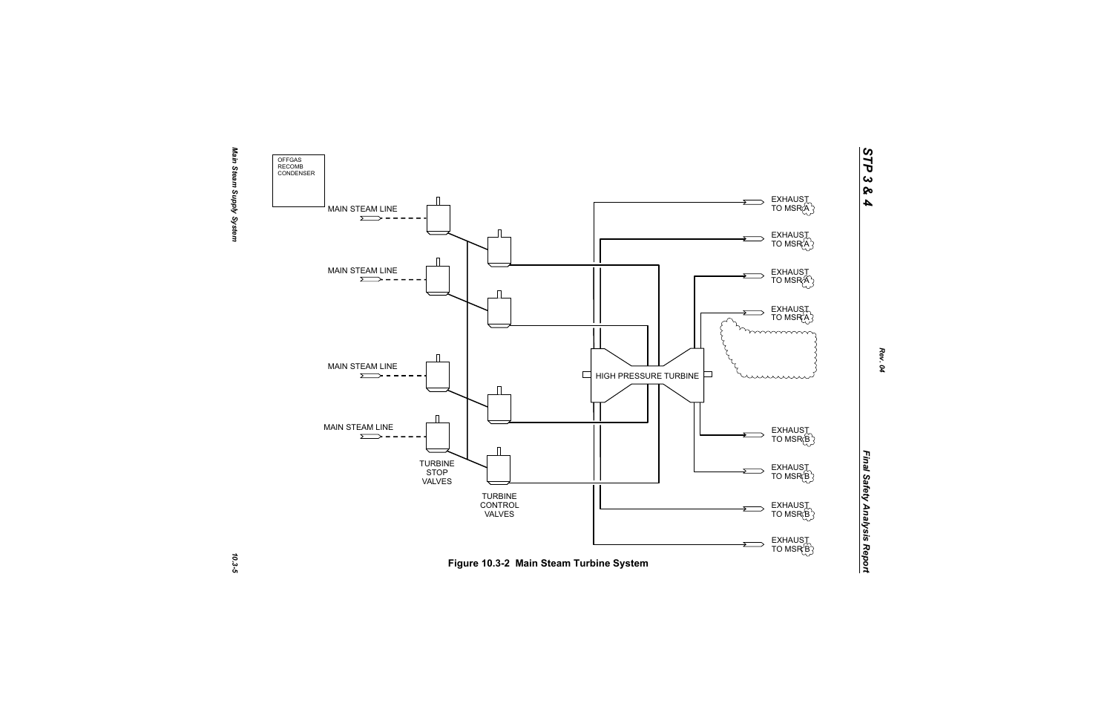

10.3-5

*STP 3 & 4*